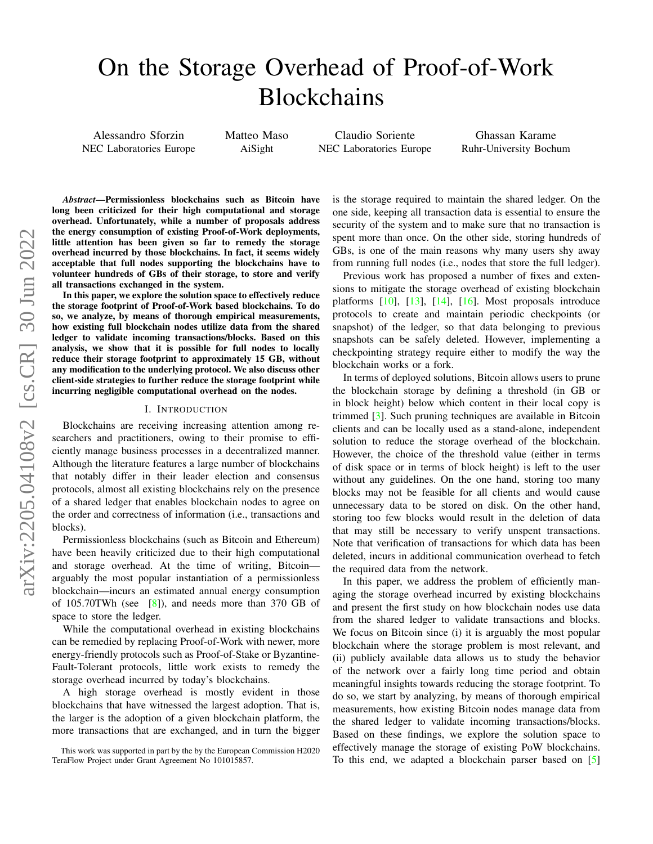# On the Storage Overhead of Proof-of-Work Blockchains

Alessandro Sforzin NEC Laboratories Europe Matteo Maso AiSight

Claudio Soriente NEC Laboratories Europe

Ghassan Karame Ruhr-University Bochum

*Abstract*—Permissionless blockchains such as Bitcoin have long been criticized for their high computational and storage overhead. Unfortunately, while a number of proposals address the energy consumption of existing Proof-of-Work deployments, little attention has been given so far to remedy the storage overhead incurred by those blockchains. In fact, it seems widely acceptable that full nodes supporting the blockchains have to volunteer hundreds of GBs of their storage, to store and verify all transactions exchanged in the system.

In this paper, we explore the solution space to effectively reduce the storage footprint of Proof-of-Work based blockchains. To do so, we analyze, by means of thorough empirical measurements, how existing full blockchain nodes utilize data from the shared ledger to validate incoming transactions/blocks. Based on this analysis, we show that it is possible for full nodes to locally reduce their storage footprint to approximately 15 GB, without any modification to the underlying protocol. We also discuss other client-side strategies to further reduce the storage footprint while incurring negligible computational overhead on the nodes.

#### I. INTRODUCTION

Blockchains are receiving increasing attention among researchers and practitioners, owing to their promise to efficiently manage business processes in a decentralized manner. Although the literature features a large number of blockchains that notably differ in their leader election and consensus protocols, almost all existing blockchains rely on the presence of a shared ledger that enables blockchain nodes to agree on the order and correctness of information (i.e., transactions and blocks).

Permissionless blockchains (such as Bitcoin and Ethereum) have been heavily criticized due to their high computational and storage overhead. At the time of writing, Bitcoin arguably the most popular instantiation of a permissionless blockchain—incurs an estimated annual energy consumption of 105.70TWh (see  $[8]$ ), and needs more than 370 GB of space to store the ledger.

While the computational overhead in existing blockchains can be remedied by replacing Proof-of-Work with newer, more energy-friendly protocols such as Proof-of-Stake or Byzantine-Fault-Tolerant protocols, little work exists to remedy the storage overhead incurred by today's blockchains.

A high storage overhead is mostly evident in those blockchains that have witnessed the largest adoption. That is, the larger is the adoption of a given blockchain platform, the more transactions that are exchanged, and in turn the bigger is the storage required to maintain the shared ledger. On the one side, keeping all transaction data is essential to ensure the security of the system and to make sure that no transaction is spent more than once. On the other side, storing hundreds of GBs, is one of the main reasons why many users shy away from running full nodes (i.e., nodes that store the full ledger).

Previous work has proposed a number of fixes and extensions to mitigate the storage overhead of existing blockchain platforms  $[10]$ ,  $[13]$ ,  $[14]$ ,  $[16]$ . Most proposals introduce protocols to create and maintain periodic checkpoints (or snapshot) of the ledger, so that data belonging to previous snapshots can be safely deleted. However, implementing a checkpointing strategy require either to modify the way the blockchain works or a fork.

In terms of deployed solutions, Bitcoin allows users to prune the blockchain storage by defining a threshold (in GB or in block height) below which content in their local copy is trimmed [\[3\]](#page-7-5). Such pruning techniques are available in Bitcoin clients and can be locally used as a stand-alone, independent solution to reduce the storage overhead of the blockchain. However, the choice of the threshold value (either in terms of disk space or in terms of block height) is left to the user without any guidelines. On the one hand, storing too many blocks may not be feasible for all clients and would cause unnecessary data to be stored on disk. On the other hand, storing too few blocks would result in the deletion of data that may still be necessary to verify unspent transactions. Note that verification of transactions for which data has been deleted, incurs in additional communication overhead to fetch the required data from the network.

In this paper, we address the problem of efficiently managing the storage overhead incurred by existing blockchains and present the first study on how blockchain nodes use data from the shared ledger to validate transactions and blocks. We focus on Bitcoin since (i) it is arguably the most popular blockchain where the storage problem is most relevant, and (ii) publicly available data allows us to study the behavior of the network over a fairly long time period and obtain meaningful insights towards reducing the storage footprint. To do so, we start by analyzing, by means of thorough empirical measurements, how existing Bitcoin nodes manage data from the shared ledger to validate incoming transactions/blocks. Based on these findings, we explore the solution space to effectively manage the storage of existing PoW blockchains. To this end, we adapted a blockchain parser based on [\[5\]](#page-7-6)

This work was supported in part by the by the European Commission H2020 TeraFlow Project under Grant Agreement No 101015857.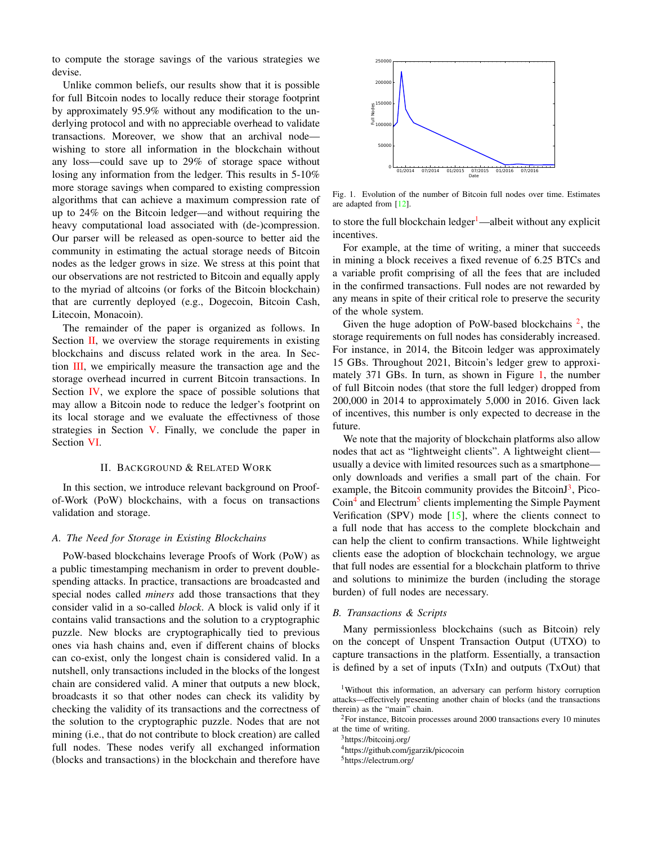to compute the storage savings of the various strategies we devise.

Unlike common beliefs, our results show that it is possible for full Bitcoin nodes to locally reduce their storage footprint by approximately 95.9% without any modification to the underlying protocol and with no appreciable overhead to validate transactions. Moreover, we show that an archival node wishing to store all information in the blockchain without any loss—could save up to 29% of storage space without losing any information from the ledger. This results in 5-10% more storage savings when compared to existing compression algorithms that can achieve a maximum compression rate of up to 24% on the Bitcoin ledger—and without requiring the heavy computational load associated with (de-)compression. Our parser will be released as open-source to better aid the community in estimating the actual storage needs of Bitcoin nodes as the ledger grows in size. We stress at this point that our observations are not restricted to Bitcoin and equally apply to the myriad of altcoins (or forks of the Bitcoin blockchain) that are currently deployed (e.g., Dogecoin, Bitcoin Cash, Litecoin, Monacoin).

The remainder of the paper is organized as follows. In Section [II,](#page-1-0) we overview the storage requirements in existing blockchains and discuss related work in the area. In Section [III,](#page-2-0) we empirically measure the transaction age and the storage overhead incurred in current Bitcoin transactions. In Section [IV,](#page-4-0) we explore the space of possible solutions that may allow a Bitcoin node to reduce the ledger's footprint on its local storage and we evaluate the effectivness of those strategies in Section [V.](#page-6-0) Finally, we conclude the paper in Section [VI.](#page-7-7)

# II. BACKGROUND & RELATED WORK

<span id="page-1-0"></span>In this section, we introduce relevant background on Proofof-Work (PoW) blockchains, with a focus on transactions validation and storage.

#### *A. The Need for Storage in Existing Blockchains*

PoW-based blockchains leverage Proofs of Work (PoW) as a public timestamping mechanism in order to prevent doublespending attacks. In practice, transactions are broadcasted and special nodes called *miners* add those transactions that they consider valid in a so-called *block*. A block is valid only if it contains valid transactions and the solution to a cryptographic puzzle. New blocks are cryptographically tied to previous ones via hash chains and, even if different chains of blocks can co-exist, only the longest chain is considered valid. In a nutshell, only transactions included in the blocks of the longest chain are considered valid. A miner that outputs a new block, broadcasts it so that other nodes can check its validity by checking the validity of its transactions and the correctness of the solution to the cryptographic puzzle. Nodes that are not mining (i.e., that do not contribute to block creation) are called full nodes. These nodes verify all exchanged information (blocks and transactions) in the blockchain and therefore have

<span id="page-1-3"></span>

Fig. 1. Evolution of the number of Bitcoin full nodes over time. Estimates are adapted from [\[12\]](#page-7-8).

to store the full blockchain ledger<sup>[1](#page-1-1)</sup>—albeit without any explicit incentives.

For example, at the time of writing, a miner that succeeds in mining a block receives a fixed revenue of 6.25 BTCs and a variable profit comprising of all the fees that are included in the confirmed transactions. Full nodes are not rewarded by any means in spite of their critical role to preserve the security of the whole system.

Given the huge adoption of PoW-based blockchains  $2$ , the storage requirements on full nodes has considerably increased. For instance, in 2014, the Bitcoin ledger was approximately 15 GBs. Throughout 2021, Bitcoin's ledger grew to approximately 371 GBs. In turn, as shown in Figure [1,](#page-1-3) the number of full Bitcoin nodes (that store the full ledger) dropped from 200,000 in 2014 to approximately 5,000 in 2016. Given lack of incentives, this number is only expected to decrease in the future.

We note that the majority of blockchain platforms also allow nodes that act as "lightweight clients". A lightweight client usually a device with limited resources such as a smartphone only downloads and verifies a small part of the chain. For example, the Bitcoin community provides the BitcoinJ<sup>[3](#page-1-4)</sup>, Pico-Coin<sup>[4](#page-1-5)</sup> and Electrum<sup>[5](#page-1-6)</sup> clients implementing the Simple Payment Verification (SPV) mode  $[15]$ , where the clients connect to a full node that has access to the complete blockchain and can help the client to confirm transactions. While lightweight clients ease the adoption of blockchain technology, we argue that full nodes are essential for a blockchain platform to thrive and solutions to minimize the burden (including the storage burden) of full nodes are necessary.

#### *B. Transactions & Scripts*

Many permissionless blockchains (such as Bitcoin) rely on the concept of Unspent Transaction Output (UTXO) to capture transactions in the platform. Essentially, a transaction is defined by a set of inputs (TxIn) and outputs (TxOut) that

<span id="page-1-1"></span><sup>&</sup>lt;sup>1</sup>Without this information, an adversary can perform history corruption attacks—effectively presenting another chain of blocks (and the transactions therein) as the "main" chain.

<span id="page-1-2"></span><sup>2</sup>For instance, Bitcoin processes around 2000 transactions every 10 minutes at the time of writing.

<span id="page-1-4"></span><sup>&</sup>lt;sup>3</sup><https://bitcoinj.org/>

<span id="page-1-5"></span><sup>4</sup><https://github.com/jgarzik/picocoin>

<span id="page-1-6"></span><sup>5</sup><https://electrum.org/>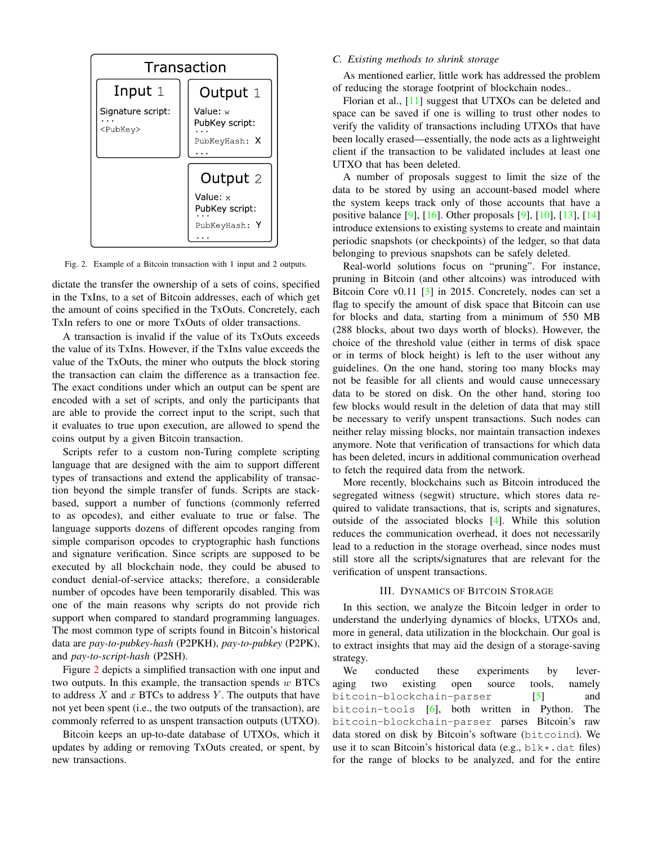

Fig. 2. Example of a Bitcoin transaction with 1 input and 2 outputs.

dictate the transfer the ownership of a sets of coins, specified in the TxIns, to a set of Bitcoin addresses, each of which get the amount of coins specified in the TxOuts. Concretely, each TxIn refers to one or more TxOuts of older transactions.

A transaction is invalid if the value of its TxOuts exceeds the value of its TxIns. However, if the TxIns value exceeds the value of the TxOuts, the miner who outputs the block storing the transaction can claim the difference as a transaction fee. The exact conditions under which an output can be spent are encoded with a set of scripts, and only the participants that are able to provide the correct input to the script, such that it evaluates to true upon execution, are allowed to spend the coins output by a given Bitcoin transaction.

Scripts refer to a custom non-Turing complete scripting language that are designed with the aim to support different types of transactions and extend the applicability of transaction beyond the simple transfer of funds. Scripts are stackbased, support a number of functions (commonly referred to as opcodes), and either evaluate to true or false. The language supports dozens of different opcodes ranging from simple comparison opcodes to cryptographic hash functions and signature verification. Since scripts are supposed to be executed by all blockchain node, they could be abused to conduct denial-of-service attacks; therefore, a considerable number of opcodes have been temporarily disabled. This was one of the main reasons why scripts do not provide rich support when compared to standard programming languages. The most common type of scripts found in Bitcoin's historical data are *pay-to-pubkey-hash* (P2PKH), *pay-to-pubkey* (P2PK), and *pay-to-script-hash* (P2SH).

Figure [2](#page-2-1) depicts a simplified transaction with one input and two outputs. In this example, the transaction spends  $w$  BTCs to address  $X$  and  $x$  BTCs to address  $Y$ . The outputs that have not yet been spent (i.e., the two outputs of the transaction), are commonly referred to as unspent transaction outputs (UTXO).

Bitcoin keeps an up-to-date database of UTXOs, which it updates by adding or removing TxOuts created, or spent, by new transactions.

# *C. Existing methods to shrink storage*

As mentioned earlier, little work has addressed the problem of reducing the storage footprint of blockchain nodes..

Florian et al., [\[11\]](#page-7-10) suggest that UTXOs can be deleted and space can be saved if one is willing to trust other nodes to verify the validity of transactions including UTXOs that have been locally erased—essentially, the node acts as a lightweight client if the transaction to be validated includes at least one UTXO that has been deleted.

A number of proposals suggest to limit the size of the data to be stored by using an account-based model where the system keeps track only of those accounts that have a positive balance [\[9\]](#page-7-11), [\[16\]](#page-7-4). Other proposals [\[9\]](#page-7-11), [\[10\]](#page-7-1), [\[13\]](#page-7-2), [\[14\]](#page-7-3) introduce extensions to existing systems to create and maintain periodic snapshots (or checkpoints) of the ledger, so that data belonging to previous snapshots can be safely deleted.

<span id="page-2-1"></span>Real-world solutions focus on "pruning". For instance, pruning in Bitcoin (and other altcoins) was introduced with Bitcoin Core v0.11 [\[3\]](#page-7-5) in 2015. Concretely, nodes can set a flag to specify the amount of disk space that Bitcoin can use for blocks and data, starting from a minimum of 550 MB (288 blocks, about two days worth of blocks). However, the choice of the threshold value (either in terms of disk space or in terms of block height) is left to the user without any guidelines. On the one hand, storing too many blocks may not be feasible for all clients and would cause unnecessary data to be stored on disk. On the other hand, storing too few blocks would result in the deletion of data that may still be necessary to verify unspent transactions. Such nodes can neither relay missing blocks, nor maintain transaction indexes anymore. Note that verification of transactions for which data has been deleted, incurs in additional communication overhead to fetch the required data from the network.

More recently, blockchains such as Bitcoin introduced the segregated witness (segwit) structure, which stores data required to validate transactions, that is, scripts and signatures, outside of the associated blocks [\[4\]](#page-7-12). While this solution reduces the communication overhead, it does not necessarily lead to a reduction in the storage overhead, since nodes must still store all the scripts/signatures that are relevant for the verification of unspent transactions.

# III. DYNAMICS OF BITCOIN STORAGE

<span id="page-2-0"></span>In this section, we analyze the Bitcoin ledger in order to understand the underlying dynamics of blocks, UTXOs and, more in general, data utilization in the blockchain. Our goal is to extract insights that may aid the design of a storage-saving strategy.

We conducted these experiments by leveraging two existing open source tools, namely bitcoin-blockchain-parser [\[5\]](#page-7-6) and bitcoin-tools [\[6\]](#page-7-13), both written in Python. The bitcoin-blockchain-parser parses Bitcoin's raw data stored on disk by Bitcoin's software (bitcoind). We use it to scan Bitcoin's historical data (e.g.,  $b \< k$ . dat files) for the range of blocks to be analyzed, and for the entire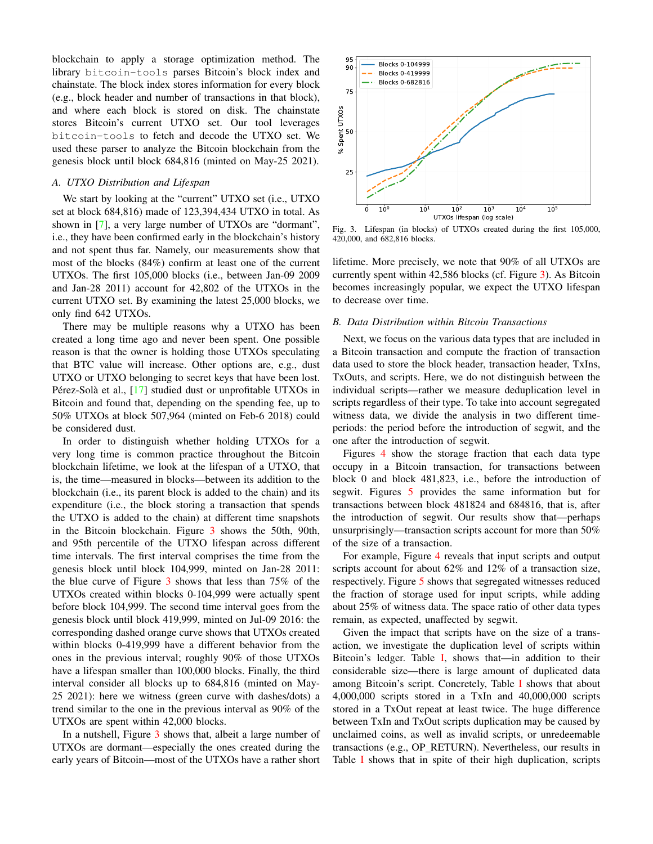blockchain to apply a storage optimization method. The library bitcoin-tools parses Bitcoin's block index and chainstate. The block index stores information for every block (e.g., block header and number of transactions in that block), and where each block is stored on disk. The chainstate stores Bitcoin's current UTXO set. Our tool leverages bitcoin-tools to fetch and decode the UTXO set. We used these parser to analyze the Bitcoin blockchain from the genesis block until block 684,816 (minted on May-25 2021).

## *A. UTXO Distribution and Lifespan*

We start by looking at the "current" UTXO set (i.e., UTXO set at block 684,816) made of 123,394,434 UTXO in total. As shown in [\[7\]](#page-7-14), a very large number of UTXOs are "dormant", i.e., they have been confirmed early in the blockchain's history and not spent thus far. Namely, our measurements show that most of the blocks (84%) confirm at least one of the current UTXOs. The first 105,000 blocks (i.e., between Jan-09 2009 and Jan-28 2011) account for 42,802 of the UTXOs in the current UTXO set. By examining the latest 25,000 blocks, we only find 642 UTXOs.

There may be multiple reasons why a UTXO has been created a long time ago and never been spent. One possible reason is that the owner is holding those UTXOs speculating that BTC value will increase. Other options are, e.g., dust UTXO or UTXO belonging to secret keys that have been lost. Pérez-Solà et al.,  $[17]$  $[17]$  studied dust or unprofitable UTXOs in Bitcoin and found that, depending on the spending fee, up to 50% UTXOs at block 507,964 (minted on Feb-6 2018) could be considered dust.

In order to distinguish whether holding UTXOs for a very long time is common practice throughout the Bitcoin blockchain lifetime, we look at the lifespan of a UTXO, that is, the time—measured in blocks—between its addition to the blockchain (i.e., its parent block is added to the chain) and its expenditure (i.e., the block storing a transaction that spends the UTXO is added to the chain) at different time snapshots in the Bitcoin blockchain. Figure [3](#page-3-0) shows the 50th, 90th, and 95th percentile of the UTXO lifespan across different time intervals. The first interval comprises the time from the genesis block until block 104,999, minted on Jan-28 2011: the blue curve of Figure [3](#page-3-0) shows that less than 75% of the UTXOs created within blocks 0-104,999 were actually spent before block 104,999. The second time interval goes from the genesis block until block 419,999, minted on Jul-09 2016: the corresponding dashed orange curve shows that UTXOs created within blocks 0-419,999 have a different behavior from the ones in the previous interval; roughly 90% of those UTXOs have a lifespan smaller than 100,000 blocks. Finally, the third interval consider all blocks up to 684,816 (minted on May-25 2021): here we witness (green curve with dashes/dots) a trend similar to the one in the previous interval as 90% of the UTXOs are spent within 42,000 blocks.

In a nutshell, Figure [3](#page-3-0) shows that, albeit a large number of UTXOs are dormant—especially the ones created during the early years of Bitcoin—most of the UTXOs have a rather short



<span id="page-3-0"></span>Fig. 3. Lifespan (in blocks) of UTXOs created during the first 105,000, 420,000, and 682,816 blocks.

lifetime. More precisely, we note that 90% of all UTXOs are currently spent within 42,586 blocks (cf. Figure [3\)](#page-3-0). As Bitcoin becomes increasingly popular, we expect the UTXO lifespan to decrease over time.

# *B. Data Distribution within Bitcoin Transactions*

Next, we focus on the various data types that are included in a Bitcoin transaction and compute the fraction of transaction data used to store the block header, transaction header, TxIns, TxOuts, and scripts. Here, we do not distinguish between the individual scripts—rather we measure deduplication level in scripts regardless of their type. To take into account segregated witness data, we divide the analysis in two different timeperiods: the period before the introduction of segwit, and the one after the introduction of segwit.

Figures [4](#page-4-1) show the storage fraction that each data type occupy in a Bitcoin transaction, for transactions between block 0 and block 481,823, i.e., before the introduction of segwit. Figures [5](#page-4-2) provides the same information but for transactions between block 481824 and 684816, that is, after the introduction of segwit. Our results show that—perhaps unsurprisingly—transaction scripts account for more than 50% of the size of a transaction.

For example, Figure [4](#page-4-1) reveals that input scripts and output scripts account for about 62% and 12% of a transaction size, respectively. Figure [5](#page-4-2) shows that segregated witnesses reduced the fraction of storage used for input scripts, while adding about 25% of witness data. The space ratio of other data types remain, as expected, unaffected by segwit.

Given the impact that scripts have on the size of a transaction, we investigate the duplication level of scripts within Bitcoin's ledger. Table [I,](#page-5-0) shows that—in addition to their considerable size—there is large amount of duplicated data among Bitcoin's script. Concretely, Table [I](#page-5-0) shows that about 4,000,000 scripts stored in a TxIn and 40,000,000 scripts stored in a TxOut repeat at least twice. The huge difference between TxIn and TxOut scripts duplication may be caused by unclaimed coins, as well as invalid scripts, or unredeemable transactions (e.g., OP RETURN). Nevertheless, our results in Table [I](#page-5-0) shows that in spite of their high duplication, scripts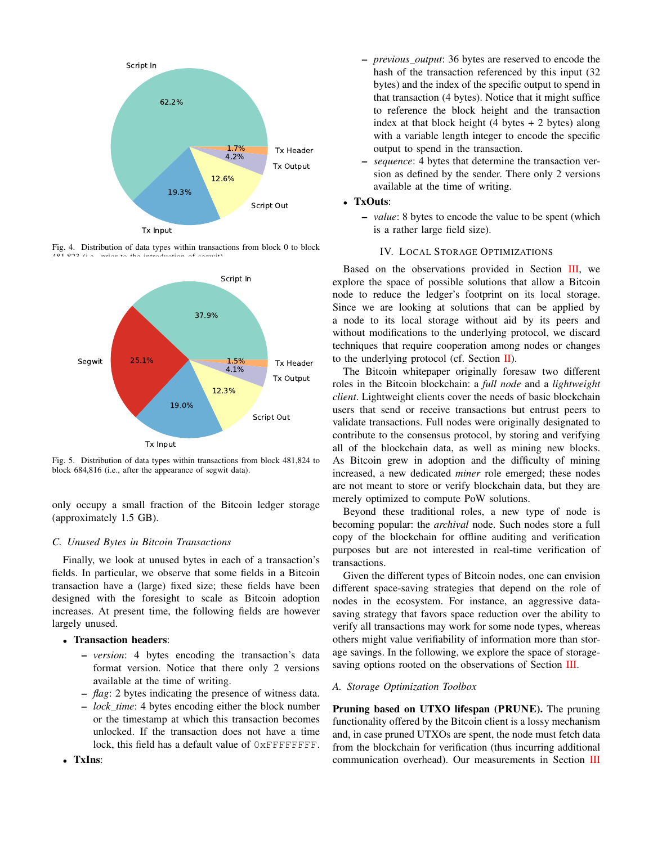

Fig. 4. Distribution of data types within transactions from block 0 to block  $4.04,0.23$  (i.e., prior to the introduction of segmental).

<span id="page-4-1"></span>

<span id="page-4-2"></span>Fig. 5. Distribution of data types within transactions from block 481,824 to block 684,816 (i.e., after the appearance of segwit data).

only occupy a small fraction of the Bitcoin ledger storage (approximately 1.5 GB).

## *C. Unused Bytes in Bitcoin Transactions*

Finally, we look at unused bytes in each of a transaction's fields. In particular, we observe that some fields in a Bitcoin transaction have a (large) fixed size; these fields have been designed with the foresight to scale as Bitcoin adoption increases. At present time, the following fields are however largely unused.

# • Transaction headers:

- *version*: 4 bytes encoding the transaction's data format version. Notice that there only 2 versions available at the time of writing.
- *flag*: 2 bytes indicating the presence of witness data.
- *lock time*: 4 bytes encoding either the block number or the timestamp at which this transaction becomes unlocked. If the transaction does not have a time lock, this field has a default value of  $0x$ FFFFFFFF.
- *previous output*: 36 bytes are reserved to encode the hash of the transaction referenced by this input (32 bytes) and the index of the specific output to spend in that transaction (4 bytes). Notice that it might suffice to reference the block height and the transaction index at that block height  $(4 \text{ bytes} + 2 \text{ bytes})$  along with a variable length integer to encode the specific output to spend in the transaction.
- *sequence*: 4 bytes that determine the transaction version as defined by the sender. There only 2 versions available at the time of writing.

# • TxOuts:

– *value*: 8 bytes to encode the value to be spent (which is a rather large field size).

# IV. LOCAL STORAGE OPTIMIZATIONS

<span id="page-4-0"></span>Based on the observations provided in Section [III,](#page-2-0) we explore the space of possible solutions that allow a Bitcoin node to reduce the ledger's footprint on its local storage. Since we are looking at solutions that can be applied by a node to its local storage without aid by its peers and without modifications to the underlying protocol, we discard techniques that require cooperation among nodes or changes to the underlying protocol (cf. Section  $\Pi$ ).

The Bitcoin whitepaper originally foresaw two different roles in the Bitcoin blockchain: a *full node* and a *lightweight client*. Lightweight clients cover the needs of basic blockchain users that send or receive transactions but entrust peers to validate transactions. Full nodes were originally designated to contribute to the consensus protocol, by storing and verifying all of the blockchain data, as well as mining new blocks. As Bitcoin grew in adoption and the difficulty of mining increased, a new dedicated *miner* role emerged; these nodes are not meant to store or verify blockchain data, but they are merely optimized to compute PoW solutions.

Beyond these traditional roles, a new type of node is becoming popular: the *archival* node. Such nodes store a full copy of the blockchain for offline auditing and verification purposes but are not interested in real-time verification of transactions.

Given the different types of Bitcoin nodes, one can envision different space-saving strategies that depend on the role of nodes in the ecosystem. For instance, an aggressive datasaving strategy that favors space reduction over the ability to verify all transactions may work for some node types, whereas others might value verifiability of information more than storage savings. In the following, we explore the space of storage-saving options rooted on the observations of Section [III.](#page-2-0)

## *A. Storage Optimization Toolbox*

Pruning based on UTXO lifespan (PRUNE). The pruning functionality offered by the Bitcoin client is a lossy mechanism and, in case pruned UTXOs are spent, the node must fetch data from the blockchain for verification (thus incurring additional communication overhead). Our measurements in Section [III](#page-2-0)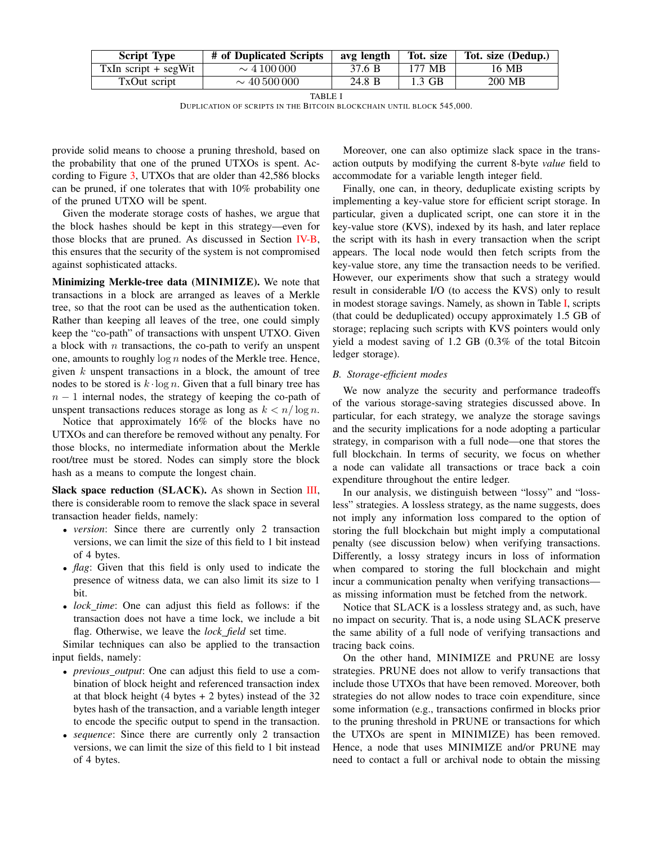| <b>Script Type</b>     | # of Duplicated Scripts | avg length | Tot. size | Tot. size (Dedup.) |
|------------------------|-------------------------|------------|-----------|--------------------|
| $TxIn script + segWit$ | $\sim$ 4 100 000        | 37.6 B     | 177 MB    | 16 MB              |
| TxOut script           | $\sim$ 40.500.000       | 24.8 B     | $1.3$ GB  | 200 MB             |

DUPLICATION OF SCRIPTS IN THE BITCOIN BLOCKCHAIN UNTIL BLOCK 545,000.

provide solid means to choose a pruning threshold, based on the probability that one of the pruned UTXOs is spent. According to Figure [3,](#page-3-0) UTXOs that are older than 42,586 blocks can be pruned, if one tolerates that with 10% probability one of the pruned UTXO will be spent.

Given the moderate storage costs of hashes, we argue that the block hashes should be kept in this strategy—even for those blocks that are pruned. As discussed in Section [IV-B,](#page-5-1) this ensures that the security of the system is not compromised against sophisticated attacks.

Minimizing Merkle-tree data (MINIMIZE). We note that transactions in a block are arranged as leaves of a Merkle tree, so that the root can be used as the authentication token. Rather than keeping all leaves of the tree, one could simply keep the "co-path" of transactions with unspent UTXO. Given a block with  $n$  transactions, the co-path to verify an unspent one, amounts to roughly  $\log n$  nodes of the Merkle tree. Hence, given  $k$  unspent transactions in a block, the amount of tree nodes to be stored is  $k \cdot \log n$ . Given that a full binary tree has  $n - 1$  internal nodes, the strategy of keeping the co-path of unspent transactions reduces storage as long as  $k < n/\log n$ .

Notice that approximately 16% of the blocks have no UTXOs and can therefore be removed without any penalty. For those blocks, no intermediate information about the Merkle root/tree must be stored. Nodes can simply store the block hash as a means to compute the longest chain.

Slack space reduction (SLACK). As shown in Section [III,](#page-2-0) there is considerable room to remove the slack space in several transaction header fields, namely:

- *version*: Since there are currently only 2 transaction versions, we can limit the size of this field to 1 bit instead of 4 bytes.
- *flag*: Given that this field is only used to indicate the presence of witness data, we can also limit its size to 1 bit.
- *lock time*: One can adjust this field as follows: if the transaction does not have a time lock, we include a bit flag. Otherwise, we leave the *lock field* set time.

Similar techniques can also be applied to the transaction input fields, namely:

- *previous output*: One can adjust this field to use a combination of block height and referenced transaction index at that block height  $(4 \text{ bytes} + 2 \text{ bytes})$  instead of the 32 bytes hash of the transaction, and a variable length integer to encode the specific output to spend in the transaction.
- *sequence*: Since there are currently only 2 transaction versions, we can limit the size of this field to 1 bit instead of 4 bytes.

<span id="page-5-0"></span>Moreover, one can also optimize slack space in the transaction outputs by modifying the current 8-byte *value* field to accommodate for a variable length integer field.

Finally, one can, in theory, deduplicate existing scripts by implementing a key-value store for efficient script storage. In particular, given a duplicated script, one can store it in the key-value store (KVS), indexed by its hash, and later replace the script with its hash in every transaction when the script appears. The local node would then fetch scripts from the key-value store, any time the transaction needs to be verified. However, our experiments show that such a strategy would result in considerable I/O (to access the KVS) only to result in modest storage savings. Namely, as shown in Table [I,](#page-5-0) scripts (that could be deduplicated) occupy approximately 1.5 GB of storage; replacing such scripts with KVS pointers would only yield a modest saving of 1.2 GB (0.3% of the total Bitcoin ledger storage).

## <span id="page-5-1"></span>*B. Storage-efficient modes*

We now analyze the security and performance tradeoffs of the various storage-saving strategies discussed above. In particular, for each strategy, we analyze the storage savings and the security implications for a node adopting a particular strategy, in comparison with a full node—one that stores the full blockchain. In terms of security, we focus on whether a node can validate all transactions or trace back a coin expenditure throughout the entire ledger.

In our analysis, we distinguish between "lossy" and "lossless" strategies. A lossless strategy, as the name suggests, does not imply any information loss compared to the option of storing the full blockchain but might imply a computational penalty (see discussion below) when verifying transactions. Differently, a lossy strategy incurs in loss of information when compared to storing the full blockchain and might incur a communication penalty when verifying transactions as missing information must be fetched from the network.

Notice that SLACK is a lossless strategy and, as such, have no impact on security. That is, a node using SLACK preserve the same ability of a full node of verifying transactions and tracing back coins.

On the other hand, MINIMIZE and PRUNE are lossy strategies. PRUNE does not allow to verify transactions that include those UTXOs that have been removed. Moreover, both strategies do not allow nodes to trace coin expenditure, since some information (e.g., transactions confirmed in blocks prior to the pruning threshold in PRUNE or transactions for which the UTXOs are spent in MINIMIZE) has been removed. Hence, a node that uses MINIMIZE and/or PRUNE may need to contact a full or archival node to obtain the missing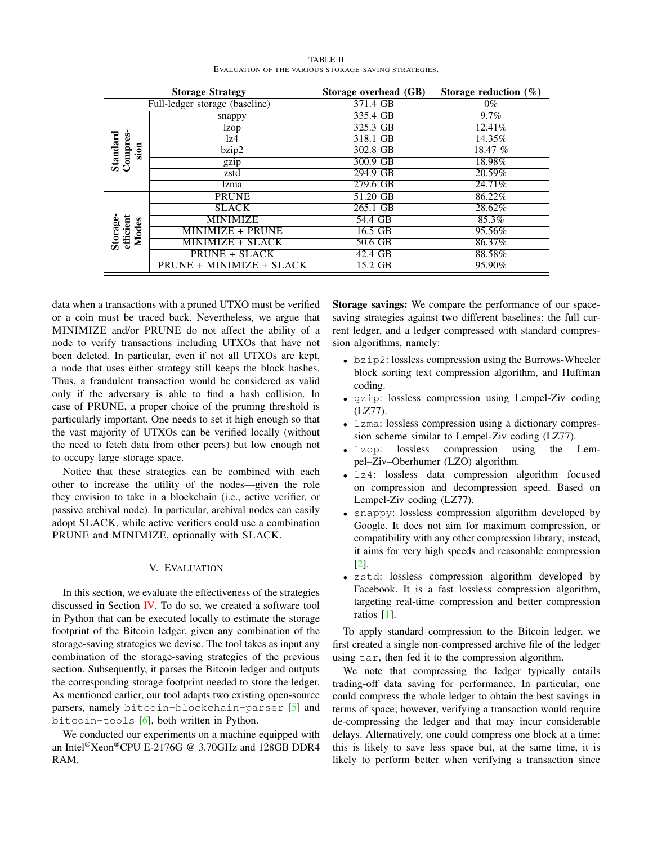<span id="page-6-1"></span>

| <b>Storage Strategy</b>        |                          | Storage overhead (GB) | Storage reduction $(\%)$ |
|--------------------------------|--------------------------|-----------------------|--------------------------|
| Full-ledger storage (baseline) |                          | 371.4 GB              | $0\%$                    |
| Standard<br>Compres-<br>sion   | snappy                   | 335.4 GB              | $9.7\%$                  |
|                                | lzop                     | 325.3 GB              | 12.41\%                  |
|                                | lz4                      | 318.1 GB              | 14.35%                   |
|                                | bzip2                    | 302.8 GB              | 18.47 $%$                |
|                                | gzip                     | 300.9 GB              | 18.98%                   |
|                                | zstd                     | 294.9 GB              | 20.59%                   |
|                                | lzma                     | 279.6 GB              | 24.71%                   |
| Storage-<br>efficient<br>Modes | <b>PRUNE</b>             | 51.20 GB              | 86.22%                   |
|                                | <b>SLACK</b>             | 265.1 GB              | 28.62%                   |
|                                | <b>MINIMIZE</b>          | 54.4 GB               | 85.3%                    |
|                                | MINIMIZE + PRUNE         | 16.5 GB               | 95.56%                   |
|                                | MINIMIZE + SLACK         | 50.6 GB               | 86.37%                   |
|                                | <b>PRUNE + SLACK</b>     | 42.4 GB               | 88.58%                   |
|                                | PRUNE + MINIMIZE + SLACK | 15.2 GB               | 95.90%                   |

TABLE II EVALUATION OF THE VARIOUS STORAGE-SAVING STRATEGIES.

data when a transactions with a pruned UTXO must be verified or a coin must be traced back. Nevertheless, we argue that MINIMIZE and/or PRUNE do not affect the ability of a node to verify transactions including UTXOs that have not been deleted. In particular, even if not all UTXOs are kept, a node that uses either strategy still keeps the block hashes. Thus, a fraudulent transaction would be considered as valid only if the adversary is able to find a hash collision. In case of PRUNE, a proper choice of the pruning threshold is particularly important. One needs to set it high enough so that the vast majority of UTXOs can be verified locally (without the need to fetch data from other peers) but low enough not to occupy large storage space.

Notice that these strategies can be combined with each other to increase the utility of the nodes—given the role they envision to take in a blockchain (i.e., active verifier, or passive archival node). In particular, archival nodes can easily adopt SLACK, while active verifiers could use a combination PRUNE and MINIMIZE, optionally with SLACK.

#### V. EVALUATION

<span id="page-6-0"></span>In this section, we evaluate the effectiveness of the strategies discussed in Section [IV.](#page-4-0) To do so, we created a software tool in Python that can be executed locally to estimate the storage footprint of the Bitcoin ledger, given any combination of the storage-saving strategies we devise. The tool takes as input any combination of the storage-saving strategies of the previous section. Subsequently, it parses the Bitcoin ledger and outputs the corresponding storage footprint needed to store the ledger. As mentioned earlier, our tool adapts two existing open-source parsers, namely bitcoin-blockchain-parser [\[5\]](#page-7-6) and bitcoin-tools [\[6\]](#page-7-13), both written in Python.

We conducted our experiments on a machine equipped with an Intel®Xeon®CPU E-2176G @ 3.70GHz and 128GB DDR4 RAM.

Storage savings: We compare the performance of our spacesaving strategies against two different baselines: the full current ledger, and a ledger compressed with standard compression algorithms, namely:

- bzip2: lossless compression using the Burrows-Wheeler block sorting text compression algorithm, and Huffman coding.
- gzip: lossless compression using Lempel-Ziv coding (LZ77).
- lzma: lossless compression using a dictionary compression scheme similar to Lempel-Ziv coding (LZ77).
- lzop: lossless compression using the Lempel–Ziv–Oberhumer (LZO) algorithm.
- lz4: lossless data compression algorithm focused on compression and decompression speed. Based on Lempel-Ziv coding (LZ77).
- snappy: lossless compression algorithm developed by Google. It does not aim for maximum compression, or compatibility with any other compression library; instead, it aims for very high speeds and reasonable compression [\[2\]](#page-7-16).
- zstd: lossless compression algorithm developed by Facebook. It is a fast lossless compression algorithm, targeting real-time compression and better compression ratios [\[1\]](#page-7-17).

To apply standard compression to the Bitcoin ledger, we first created a single non-compressed archive file of the ledger using tar, then fed it to the compression algorithm.

We note that compressing the ledger typically entails trading-off data saving for performance. In particular, one could compress the whole ledger to obtain the best savings in terms of space; however, verifying a transaction would require de-compressing the ledger and that may incur considerable delays. Alternatively, one could compress one block at a time: this is likely to save less space but, at the same time, it is likely to perform better when verifying a transaction since